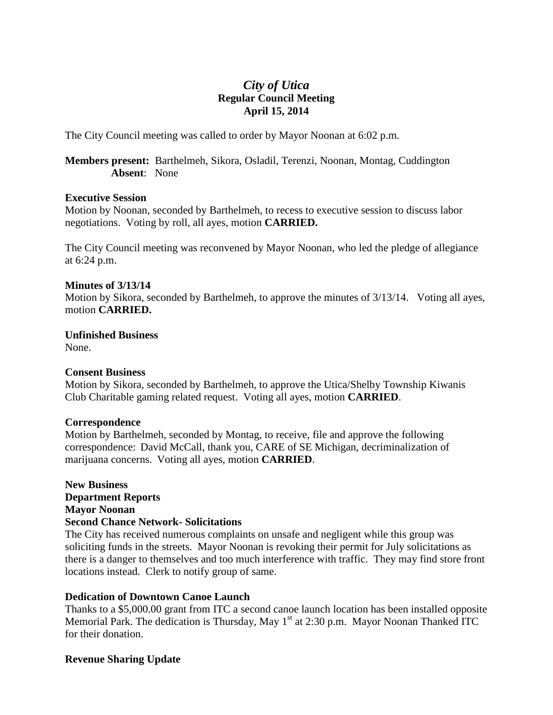# *City of Utica* **Regular Council Meeting April 15, 2014**

The City Council meeting was called to order by Mayor Noonan at 6:02 p.m.

**Members present:** Barthelmeh, Sikora, Osladil, Terenzi, Noonan, Montag, Cuddington **Absent**: None

# **Executive Session**

Motion by Noonan, seconded by Barthelmeh, to recess to executive session to discuss labor negotiations. Voting by roll, all ayes, motion **CARRIED.**

The City Council meeting was reconvened by Mayor Noonan, who led the pledge of allegiance at 6:24 p.m.

# **Minutes of 3/13/14**

Motion by Sikora, seconded by Barthelmeh, to approve the minutes of 3/13/14. Voting all ayes, motion **CARRIED.**

**Unfinished Business**

None.

# **Consent Business**

Motion by Sikora, seconded by Barthelmeh, to approve the Utica/Shelby Township Kiwanis Club Charitable gaming related request. Voting all ayes, motion **CARRIED**.

#### **Correspondence**

Motion by Barthelmeh, seconded by Montag, to receive, file and approve the following correspondence:David McCall, thank you, CARE of SE Michigan, decriminalization of marijuana concerns. Voting all ayes, motion **CARRIED**.

**New Business Department Reports Mayor Noonan Second Chance Network- Solicitations**

The City has received numerous complaints on unsafe and negligent while this group was soliciting funds in the streets. Mayor Noonan is revoking their permit for July solicitations as there is a danger to themselves and too much interference with traffic. They may find store front locations instead. Clerk to notify group of same.

# **Dedication of Downtown Canoe Launch**

Thanks to a \$5,000.00 grant from ITC a second canoe launch location has been installed opposite Memorial Park. The dedication is Thursday, May  $1<sup>st</sup>$  at 2:30 p.m. Mayor Noonan Thanked ITC for their donation.

# **Revenue Sharing Update**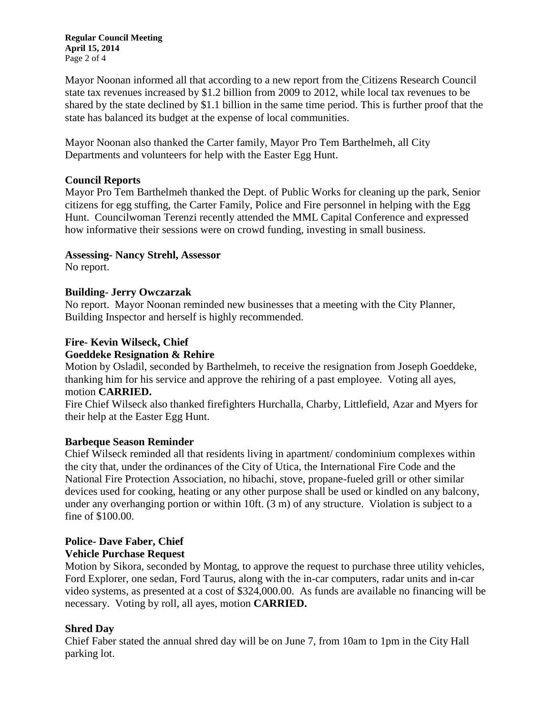**Regular Council Meeting April 15, 2014** Page 2 of 4

Mayor Noonan informed all that according to a new report from the [Citizens Research Council](http://crcmich.org/information/info.html) state tax revenues increased by \$1.2 billion from 2009 to 2012, while local tax revenues to be shared by the state declined by \$1.1 billion in the same time period. This is further proof that the state has balanced its budget at the expense of local communities.

Mayor Noonan also thanked the Carter family, Mayor Pro Tem Barthelmeh, all City Departments and volunteers for help with the Easter Egg Hunt.

# **Council Reports**

Mayor Pro Tem Barthelmeh thanked the Dept. of Public Works for cleaning up the park, Senior citizens for egg stuffing, the Carter Family, Police and Fire personnel in helping with the Egg Hunt. Councilwoman Terenzi recently attended the MML Capital Conference and expressed how informative their sessions were on crowd funding, investing in small business.

# **Assessing- Nancy Strehl, Assessor**

No report.

# **Building- Jerry Owczarzak**

No report. Mayor Noonan reminded new businesses that a meeting with the City Planner, Building Inspector and herself is highly recommended.

# **Fire- Kevin Wilseck, Chief**

# **Goeddeke Resignation & Rehire**

Motion by Osladil, seconded by Barthelmeh, to receive the resignation from Joseph Goeddeke, thanking him for his service and approve the rehiring of a past employee. Voting all ayes, motion **CARRIED.**

Fire Chief Wilseck also thanked firefighters Hurchalla, Charby, Littlefield, Azar and Myers for their help at the Easter Egg Hunt.

# **Barbeque Season Reminder**

Chief Wilseck reminded all that residents living in apartment/ condominium complexes within the city that, under the ordinances of the City of Utica, the International Fire Code and the National Fire Protection Association, no hibachi, stove, propane-fueled grill or other similar devices used for cooking, heating or any other purpose shall be used or kindled on any balcony, under any overhanging portion or within 10ft. (3 m) of any structure. Violation is subject to a fine of \$100.00.

# **Police- Dave Faber, Chief Vehicle Purchase Request**

Motion by Sikora, seconded by Montag, to approve the request to purchase three utility vehicles, Ford Explorer, one sedan, Ford Taurus, along with the in-car computers, radar units and in-car video systems, as presented at a cost of \$324,000.00. As funds are available no financing will be necessary. Voting by roll, all ayes, motion **CARRIED.**

# **Shred Day**

Chief Faber stated the annual shred day will be on June 7, from 10am to 1pm in the City Hall parking lot.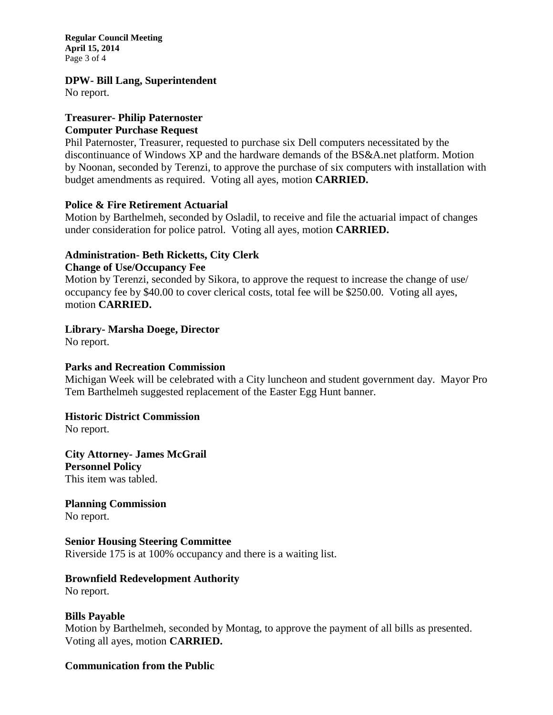**Regular Council Meeting April 15, 2014** Page 3 of 4

#### **DPW- Bill Lang, Superintendent**

No report.

# **Treasurer- Philip Paternoster**

# **Computer Purchase Request**

Phil Paternoster, Treasurer, requested to purchase six Dell computers necessitated by the discontinuance of Windows XP and the hardware demands of the BS&A.net platform. Motion by Noonan, seconded by Terenzi, to approve the purchase of six computers with installation with budget amendments as required. Voting all ayes, motion **CARRIED.**

# **Police & Fire Retirement Actuarial**

Motion by Barthelmeh, seconded by Osladil, to receive and file the actuarial impact of changes under consideration for police patrol. Voting all ayes, motion **CARRIED.**

#### **Administration- Beth Ricketts, City Clerk Change of Use/Occupancy Fee**

Motion by Terenzi, seconded by Sikora, to approve the request to increase the change of use/ occupancy fee by \$40.00 to cover clerical costs, total fee will be \$250.00. Voting all ayes, motion **CARRIED.**

# **Library- Marsha Doege, Director**

No report.

# **Parks and Recreation Commission**

Michigan Week will be celebrated with a City luncheon and student government day. Mayor Pro Tem Barthelmeh suggested replacement of the Easter Egg Hunt banner.

# **Historic District Commission**

No report.

**City Attorney- James McGrail Personnel Policy** This item was tabled.

**Planning Commission** No report.

# **Senior Housing Steering Committee**

Riverside 175 is at 100% occupancy and there is a waiting list.

# **Brownfield Redevelopment Authority**

No report.

# **Bills Payable**

Motion by Barthelmeh, seconded by Montag, to approve the payment of all bills as presented. Voting all ayes, motion **CARRIED.**

# **Communication from the Public**